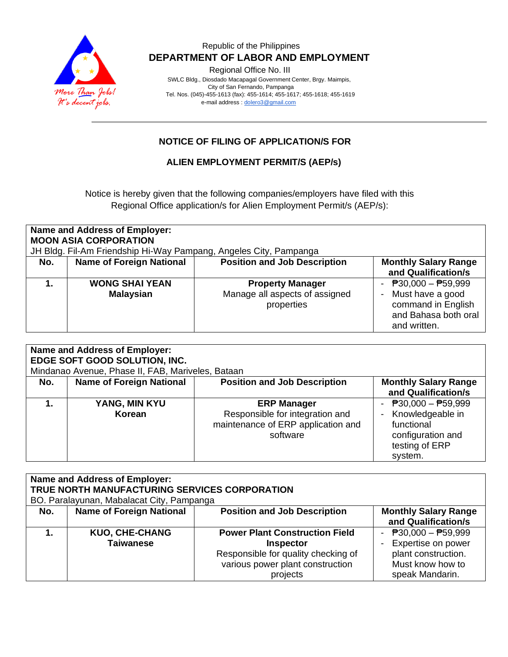

Regional Office No. III

 SWLC Bldg., Diosdado Macapagal Government Center, Brgy. Maimpis, City of San Fernando, Pampanga Tel. Nos. (045)-455-1613 (fax): 455-1614; 455-1617; 455-1618; 455-1619 e-mail address [: dolero3@gmail.com](mailto:dolero3@gmail.com)

# **NOTICE OF FILING OF APPLICATION/S FOR**

#### **ALIEN EMPLOYMENT PERMIT/S (AEP/s)**

Notice is hereby given that the following companies/employers have filed with this Regional Office application/s for Alien Employment Permit/s (AEP/s):

| Name and Address of Employer:<br><b>MOON ASIA CORPORATION</b><br>JH Bldg. Fil-Am Friendship Hi-Way Pampang, Angeles City, Pampanga |                                           |                                                                         |                                                                                                                             |  |
|------------------------------------------------------------------------------------------------------------------------------------|-------------------------------------------|-------------------------------------------------------------------------|-----------------------------------------------------------------------------------------------------------------------------|--|
| No.                                                                                                                                | <b>Name of Foreign National</b>           | <b>Position and Job Description</b>                                     | <b>Monthly Salary Range</b><br>and Qualification/s                                                                          |  |
|                                                                                                                                    | <b>WONG SHAI YEAN</b><br><b>Malaysian</b> | <b>Property Manager</b><br>Manage all aspects of assigned<br>properties | $\overline{P}30,000 - \overline{P}59,999$<br>Must have a good<br>command in English<br>and Bahasa both oral<br>and written. |  |

| Name and Address of Employer:<br>EDGE SOFT GOOD SOLUTION, INC.<br>Mindanao Avenue, Phase II, FAB, Mariveles, Bataan |                                 |                                                                                                         |                                                                                                           |  |
|---------------------------------------------------------------------------------------------------------------------|---------------------------------|---------------------------------------------------------------------------------------------------------|-----------------------------------------------------------------------------------------------------------|--|
| No.                                                                                                                 | <b>Name of Foreign National</b> | <b>Position and Job Description</b>                                                                     | <b>Monthly Salary Range</b><br>and Qualification/s                                                        |  |
|                                                                                                                     | YANG, MIN KYU<br>Korean         | <b>ERP Manager</b><br>Responsible for integration and<br>maintenance of ERP application and<br>software | - $P30,000 - P59,999$<br>Knowledgeable in<br>functional<br>configuration and<br>testing of ERP<br>system. |  |

| <b>Name and Address of Employer:</b> |                                               |                                       |                                             |  |  |
|--------------------------------------|-----------------------------------------------|---------------------------------------|---------------------------------------------|--|--|
|                                      | TRUE NORTH MANUFACTURING SERVICES CORPORATION |                                       |                                             |  |  |
|                                      | BO. Paralayunan, Mabalacat City, Pampanga     |                                       |                                             |  |  |
| No.                                  | <b>Name of Foreign National</b>               | <b>Position and Job Description</b>   | <b>Monthly Salary Range</b>                 |  |  |
|                                      |                                               |                                       | and Qualification/s                         |  |  |
|                                      | <b>KUO, CHE-CHANG</b>                         | <b>Power Plant Construction Field</b> | - $\overline{P}30,000 - \overline{P}59,999$ |  |  |
|                                      | <b>Taiwanese</b>                              | <b>Inspector</b>                      | Expertise on power                          |  |  |
|                                      |                                               | Responsible for quality checking of   | plant construction.                         |  |  |
|                                      |                                               | various power plant construction      | Must know how to                            |  |  |
|                                      |                                               | projects                              | speak Mandarin.                             |  |  |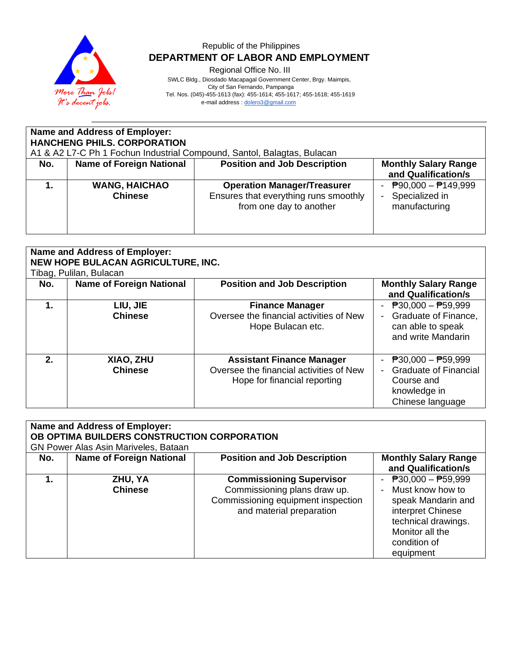

Regional Office No. III

 SWLC Bldg., Diosdado Macapagal Government Center, Brgy. Maimpis, City of San Fernando, Pampanga Tel. Nos. (045)-455-1613 (fax): 455-1614; 455-1617; 455-1618; 455-1619 e-mail address [: dolero3@gmail.com](mailto:dolero3@gmail.com)

| <b>Name and Address of Employer:</b><br><b>HANCHENG PHILS. CORPORATION</b><br>A1 & A2 L7-C Ph 1 Fochun Industrial Compound, Santol, Balagtas, Bulacan |                                        |                                                                                                        |                                                                 |  |
|-------------------------------------------------------------------------------------------------------------------------------------------------------|----------------------------------------|--------------------------------------------------------------------------------------------------------|-----------------------------------------------------------------|--|
| No.                                                                                                                                                   | <b>Name of Foreign National</b>        | <b>Position and Job Description</b>                                                                    | <b>Monthly Salary Range</b><br>and Qualification/s              |  |
|                                                                                                                                                       | <b>WANG, HAICHAO</b><br><b>Chinese</b> | <b>Operation Manager/Treasurer</b><br>Ensures that everything runs smoothly<br>from one day to another | - $P90,000 - P149,999$<br>Specialized in<br>Ξ.<br>manufacturing |  |

|                | <b>Name and Address of Employer:</b><br>NEW HOPE BULACAN AGRICULTURE, INC.<br>Tibag, Pulilan, Bulacan |                                                                                                             |                                                                                                         |  |  |
|----------------|-------------------------------------------------------------------------------------------------------|-------------------------------------------------------------------------------------------------------------|---------------------------------------------------------------------------------------------------------|--|--|
| No.            | <b>Name of Foreign National</b>                                                                       | <b>Position and Job Description</b>                                                                         | <b>Monthly Salary Range</b><br>and Qualification/s                                                      |  |  |
| 1.             | LIU, JIE<br><b>Chinese</b>                                                                            | <b>Finance Manager</b><br>Oversee the financial activities of New<br>Hope Bulacan etc.                      | $P30,000 - P59,999$<br>Graduate of Finance,<br>can able to speak<br>and write Mandarin                  |  |  |
| 2 <sub>1</sub> | XIAO, ZHU<br><b>Chinese</b>                                                                           | <b>Assistant Finance Manager</b><br>Oversee the financial activities of New<br>Hope for financial reporting | - $P30,000 - P59,999$<br><b>Graduate of Financial</b><br>Course and<br>knowledge in<br>Chinese language |  |  |

| Name and Address of Employer:<br>OB OPTIMA BUILDERS CONSTRUCTION CORPORATION<br>GN Power Alas Asin Mariveles, Bataan |                                 |                                                                                                                                   |                                                                                                                                                               |  |
|----------------------------------------------------------------------------------------------------------------------|---------------------------------|-----------------------------------------------------------------------------------------------------------------------------------|---------------------------------------------------------------------------------------------------------------------------------------------------------------|--|
| No.                                                                                                                  | <b>Name of Foreign National</b> | <b>Position and Job Description</b>                                                                                               | <b>Monthly Salary Range</b><br>and Qualification/s                                                                                                            |  |
|                                                                                                                      | ZHU, YA<br><b>Chinese</b>       | <b>Commissioning Supervisor</b><br>Commissioning plans draw up.<br>Commissioning equipment inspection<br>and material preparation | - $P30,000 - P59,999$<br>- Must know how to<br>speak Mandarin and<br>interpret Chinese<br>technical drawings.<br>Monitor all the<br>condition of<br>equipment |  |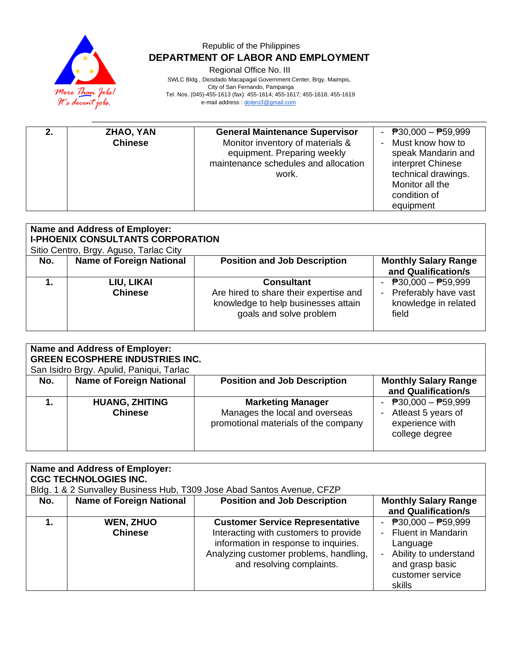

Regional Office No. III

 SWLC Bldg., Diosdado Macapagal Government Center, Brgy. Maimpis, City of San Fernando, Pampanga Tel. Nos. (045)-455-1613 (fax): 455-1614; 455-1617; 455-1618; 455-1619 e-mail address [: dolero3@gmail.com](mailto:dolero3@gmail.com)

| ZHAO, YAN      | <b>General Maintenance Supervisor</b> | - $P30,000 - P59,999$ |
|----------------|---------------------------------------|-----------------------|
| <b>Chinese</b> | Monitor inventory of materials &      | - Must know how to    |
|                | equipment. Preparing weekly           | speak Mandarin and    |
|                | maintenance schedules and allocation  | interpret Chinese     |
|                | work.                                 | technical drawings.   |
|                |                                       | Monitor all the       |
|                |                                       | condition of          |
|                |                                       | equipment             |

| Name and Address of Employer:<br><b>I-PHOENIX CONSULTANTS CORPORATION</b><br>Sitio Centro, Brgy. Aguso, Tarlac City |                                 |                                                                                                                               |                                                                                  |
|---------------------------------------------------------------------------------------------------------------------|---------------------------------|-------------------------------------------------------------------------------------------------------------------------------|----------------------------------------------------------------------------------|
| No.                                                                                                                 | <b>Name of Foreign National</b> | <b>Position and Job Description</b>                                                                                           | <b>Monthly Salary Range</b><br>and Qualification/s                               |
|                                                                                                                     | LIU, LIKAI<br><b>Chinese</b>    | <b>Consultant</b><br>Are hired to share their expertise and<br>knowledge to help businesses attain<br>goals and solve problem | - $P30,000 - P59,999$<br>- Preferably have vast<br>knowledge in related<br>field |

| <b>Name and Address of Employer:</b><br><b>GREEN ECOSPHERE INDUSTRIES INC.</b><br>San Isidro Brgy. Apulid, Paniqui, Tarlac |                                         |                                                                                                    |                                                                                  |  |
|----------------------------------------------------------------------------------------------------------------------------|-----------------------------------------|----------------------------------------------------------------------------------------------------|----------------------------------------------------------------------------------|--|
| No.                                                                                                                        | <b>Name of Foreign National</b>         | <b>Position and Job Description</b>                                                                | <b>Monthly Salary Range</b><br>and Qualification/s                               |  |
|                                                                                                                            | <b>HUANG, ZHITING</b><br><b>Chinese</b> | <b>Marketing Manager</b><br>Manages the local and overseas<br>promotional materials of the company | - $P30,000 - P59,999$<br>Atleast 5 years of<br>experience with<br>college degree |  |

| Name and Address of Employer:<br><b>CGC TECHNOLOGIES INC.</b><br>Bldg. 1 & 2 Sunvalley Business Hub, T309 Jose Abad Santos Avenue, CFZP |                                    |                                                                                                                                                                                                 |                                                                                                                                     |  |
|-----------------------------------------------------------------------------------------------------------------------------------------|------------------------------------|-------------------------------------------------------------------------------------------------------------------------------------------------------------------------------------------------|-------------------------------------------------------------------------------------------------------------------------------------|--|
| No.                                                                                                                                     | <b>Name of Foreign National</b>    | <b>Position and Job Description</b>                                                                                                                                                             | <b>Monthly Salary Range</b><br>and Qualification/s                                                                                  |  |
|                                                                                                                                         | <b>WEN, ZHUO</b><br><b>Chinese</b> | <b>Customer Service Representative</b><br>Interacting with customers to provide<br>information in response to inquiries.<br>Analyzing customer problems, handling,<br>and resolving complaints. | - $P30,000 - P59,999$<br>- Fluent in Mandarin<br>Language<br>Ability to understand<br>and grasp basic<br>customer service<br>skills |  |